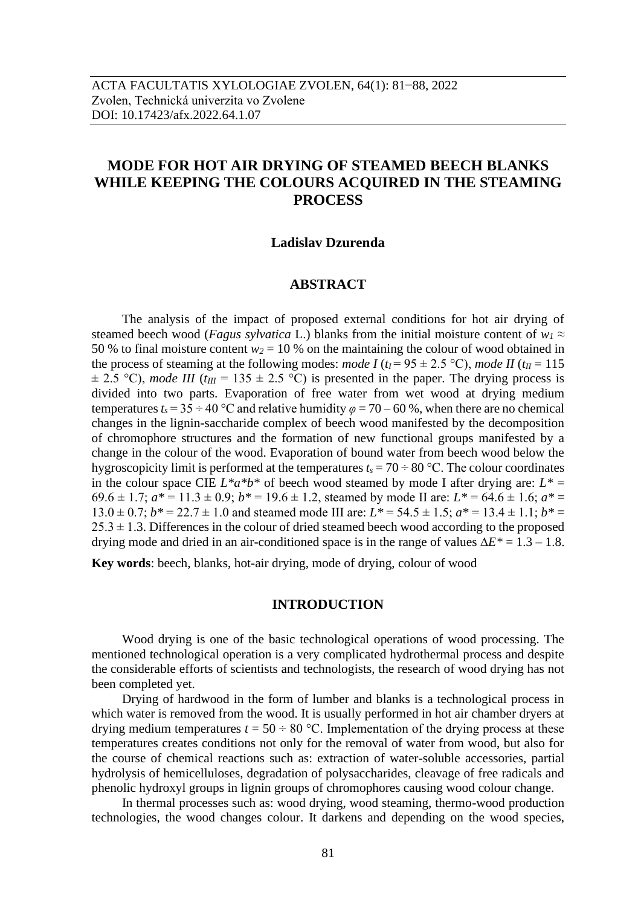# **MODE FOR HOT AIR DRYING OF STEAMED BEECH BLANKS WHILE KEEPING THE COLOURS ACQUIRED IN THE STEAMING PROCESS**

# **Ladislav Dzurenda**

# **ABSTRACT**

The analysis of the impact of proposed external conditions for hot air drying of steamed beech wood (*Fagus sylvatica* L.) blanks from the initial moisture content of  $w_1 \approx$ 50 % to final moisture content  $w_2 = 10$  % on the maintaining the colour of wood obtained in the process of steaming at the following modes: *mode I* ( $t_I$  = 95  $\pm$  2.5 °C), *mode II* ( $t_{II}$  = 115  $\pm$  2.5 °C), *mode III* ( $t_{III}$  = 135  $\pm$  2.5 °C) is presented in the paper. The drying process is divided into two parts. Evaporation of free water from wet wood at drying medium temperatures  $t_s = 35 \div 40$  °C and relative humidity  $\varphi = 70 - 60$  %, when there are no chemical changes in the lignin-saccharide complex of beech wood manifested by the decomposition of chromophore structures and the formation of new functional groups manifested by a change in the colour of the wood. Evaporation of bound water from beech wood below the hygroscopicity limit is performed at the temperatures  $t_s = 70 \div 80$  °C. The colour coordinates in the colour space CIE  $L^*a^*b^*$  of beech wood steamed by mode I after drying are:  $L^* =$ 69.6  $\pm$  1.7;  $a^*$  = 11.3  $\pm$  0.9;  $b^*$  = 19.6  $\pm$  1.2, steamed by mode II are:  $L^*$  = 64.6  $\pm$  1.6;  $a^*$  =  $13.0 \pm 0.7$ ;  $b^* = 22.7 \pm 1.0$  and steamed mode III are:  $L^* = 54.5 \pm 1.5$ ;  $a^* = 13.4 \pm 1.1$ ;  $b^* =$  $25.3 \pm 1.3$ . Differences in the colour of dried steamed beech wood according to the proposed drying mode and dried in an air-conditioned space is in the range of values ∆*E\** = 1.3 – 1.8.

**Key words**: beech, blanks, hot-air drying, mode of drying, colour of wood

#### **INTRODUCTION**

Wood drying is one of the basic technological operations of wood processing. The mentioned technological operation is a very complicated hydrothermal process and despite the considerable efforts of scientists and technologists, the research of wood drying has not been completed yet.

Drying of hardwood in the form of lumber and blanks is a technological process in which water is removed from the wood. It is usually performed in hot air chamber dryers at drying medium temperatures  $t = 50 \div 80$  °C. Implementation of the drying process at these temperatures creates conditions not only for the removal of water from wood, but also for the course of chemical reactions such as: extraction of water-soluble accessories, partial hydrolysis of hemicelluloses, degradation of polysaccharides, cleavage of free radicals and phenolic hydroxyl groups in lignin groups of chromophores causing wood colour change.

In thermal processes such as: wood drying, wood steaming, thermo-wood production technologies, the wood changes colour. It darkens and depending on the wood species,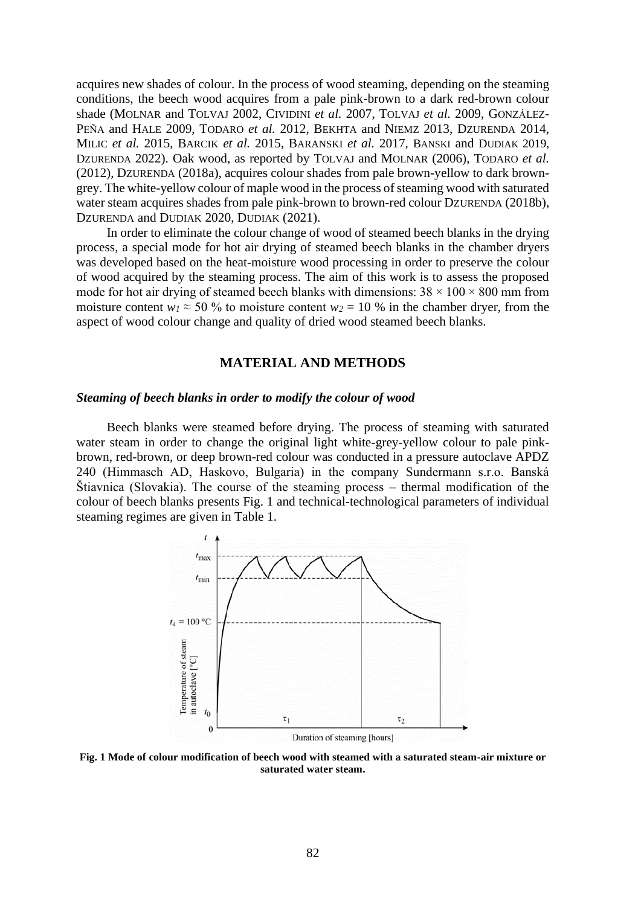acquires new shades of colour. In the process of wood steaming, depending on the steaming conditions, the beech wood acquires from a pale pink-brown to a dark red-brown colour shade (MOLNAR and TOLVAJ 2002, CIVIDINI *et al.* 2007, TOLVAJ *et al.* 2009, GONZÁLEZ-PEÑA and HALE 2009, TODARO *et al.* 2012, BEKHTA and NIEMZ 2013, DZURENDA 2014, MILIC *et al.* 2015, BARCIK *et al.* 2015, BARANSKI *et al.* 2017, BANSKI and DUDIAK 2019, DZURENDA 2022). Oak wood, as reported by TOLVAJ and MOLNAR (2006), TODARO *et al.* (2012), DZURENDA (2018a), acquires colour shades from pale brown-yellow to dark browngrey. The white-yellow colour of maple wood in the process of steaming wood with saturated water steam acquires shades from pale pink-brown to brown-red colour DZURENDA (2018b), DZURENDA and DUDIAK 2020, DUDIAK (2021).

In order to eliminate the colour change of wood of steamed beech blanks in the drying process, a special mode for hot air drying of steamed beech blanks in the chamber dryers was developed based on the heat-moisture wood processing in order to preserve the colour of wood acquired by the steaming process. The aim of this work is to assess the proposed mode for hot air drying of steamed beech blanks with dimensions:  $38 \times 100 \times 800$  mm from moisture content  $w_1 \approx 50$  % to moisture content  $w_2 = 10$  % in the chamber dryer, from the aspect of wood colour change and quality of dried wood steamed beech blanks.

# **MATERIAL AND METHODS**

#### *Steaming of beech blanks in order to modify the colour of wood*

Beech blanks were steamed before drying. The process of steaming with saturated water steam in order to change the original light white-grey-yellow colour to pale pinkbrown, red-brown, or deep brown-red colour was conducted in a pressure autoclave APDZ 240 (Himmasch AD, Haskovo, Bulgaria) in the company Sundermann s.r.o. Banská Štiavnica (Slovakia). The course of the steaming process – thermal modification of the colour of beech blanks presents Fig. 1 and technical-technological parameters of individual steaming regimes are given in Table 1.



**Fig. 1 Mode of colour modification of beech wood with steamed with a saturated steam-air mixture or saturated water steam.**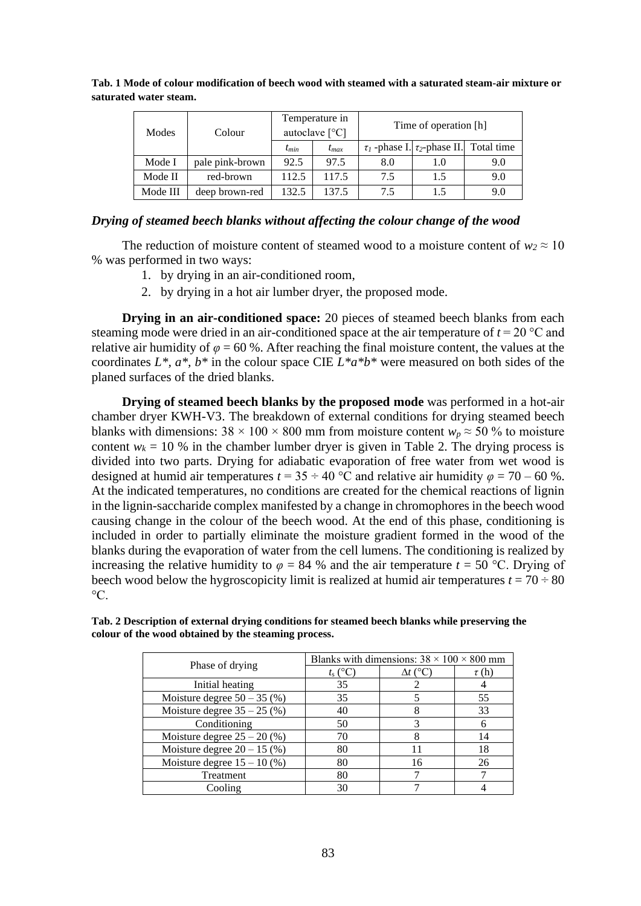| Modes    | Colour          | Temperature in<br>autoclave $[^{\circ}C]$ |           |     | Time of operation [h]                             |     |
|----------|-----------------|-------------------------------------------|-----------|-----|---------------------------------------------------|-----|
|          |                 | $t_{min}$                                 | $t_{max}$ |     | $\tau_1$ -phase I. $\tau_2$ -phase II. Total time |     |
| Mode I   | pale pink-brown | 92.5                                      | 97.5      | 8.0 | 1.0                                               | 9.0 |
| Mode II  | red-brown       | 112.5                                     | 117.5     | 7.5 | 1.5                                               | 9.0 |
| Mode III | deep brown-red  | 132.5                                     | 137.5     | 7.5 | 1.5                                               | 9.0 |

**Tab. 1 Mode of colour modification of beech wood with steamed with a saturated steam-air mixture or saturated water steam.**

# *Drying of steamed beech blanks without affecting the colour change of the wood*

The reduction of moisture content of steamed wood to a moisture content of  $w_2 \approx 10$ % was performed in two ways:

- 1. by drying in an air-conditioned room,
- 2. by drying in a hot air lumber dryer, the proposed mode.

**Drying in an air-conditioned space:** 20 pieces of steamed beech blanks from each steaming mode were dried in an air-conditioned space at the air temperature of  $t = 20$  °C and relative air humidity of  $\varphi$  = 60 %. After reaching the final moisture content, the values at the coordinates *L\*, a\*, b\** in the colour space CIE *L\*a\*b\** were measured on both sides of the planed surfaces of the dried blanks.

**Drying of steamed beech blanks by the proposed mode** was performed in a hot-air chamber dryer KWH-V3. The breakdown of external conditions for drying steamed beech blanks with dimensions:  $38 \times 100 \times 800$  mm from moisture content  $w_p \approx 50$  % to moisture content  $w_k = 10$  % in the chamber lumber dryer is given in Table 2. The drying process is divided into two parts. Drying for adiabatic evaporation of free water from wet wood is designed at humid air temperatures  $t = 35 \div 40$  °C and relative air humidity  $\varphi = 70 - 60$  %. At the indicated temperatures, no conditions are created for the chemical reactions of lignin in the lignin-saccharide complex manifested by a change in chromophores in the beech wood causing change in the colour of the beech wood. At the end of this phase, conditioning is included in order to partially eliminate the moisture gradient formed in the wood of the blanks during the evaporation of water from the cell lumens. The conditioning is realized by increasing the relative humidity to  $\varphi = 84$  % and the air temperature  $t = 50$  °C. Drying of beech wood below the hygroscopicity limit is realized at humid air temperatures  $t = 70 \div 80$  $\rm ^{\circ}C.$ 

|                               | Blanks with dimensions: $38 \times 100 \times 800$ mm |                 |            |  |  |
|-------------------------------|-------------------------------------------------------|-----------------|------------|--|--|
| Phase of drying               | $t_s$ (°C)                                            | $\Delta t$ (°C) | $\tau$ (h) |  |  |
| Initial heating               | 35                                                    |                 |            |  |  |
| Moisture degree $50 - 35$ (%) | 35                                                    |                 | 55         |  |  |
| Moisture degree $35 - 25$ (%) | 40                                                    |                 | 33         |  |  |
| Conditioning                  | 50                                                    |                 |            |  |  |
| Moisture degree $25 - 20$ (%) | 70                                                    |                 | 14         |  |  |
| Moisture degree $20 - 15$ (%) | 80                                                    | 11              | 18         |  |  |
| Moisture degree $15 - 10$ (%) | 80                                                    | 16              | 26         |  |  |
| Treatment                     | 80                                                    |                 |            |  |  |
| Cooling                       | 30                                                    |                 |            |  |  |

**Tab. 2 Description of external drying conditions for steamed beech blanks while preserving the colour of the wood obtained by the steaming process.**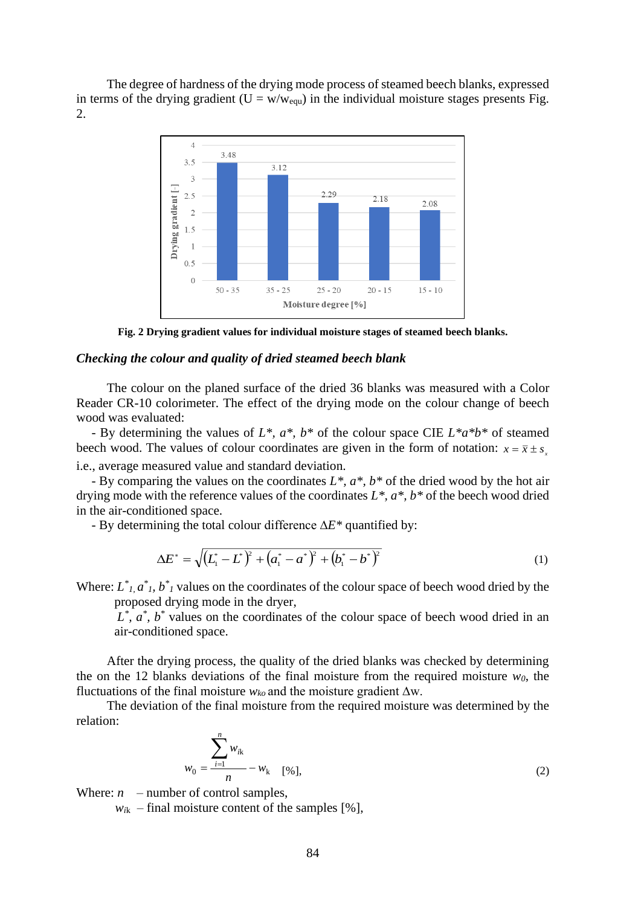The degree of hardness of the drying mode process of steamed beech blanks, expressed in terms of the drying gradient ( $U = w/w_{equ}$ ) in the individual moisture stages presents Fig. 2.



**Fig. 2 Drying gradient values for individual moisture stages of steamed beech blanks.**

#### *Checking the colour and quality of dried steamed beech blank*

The colour on the planed surface of the dried 36 blanks was measured with a Color Reader CR-10 colorimeter. The effect of the drying mode on the colour change of beech wood was evaluated:

- By determining the values of *L\*, a\*, b\** of the colour space CIE *L\*a\*b\** of steamed beech wood. The values of colour coordinates are given in the form of notation:  $x = \bar{x} \pm s$ , i.e., average measured value and standard deviation.

- By comparing the values on the coordinates *L\*, a\*, b\** of the dried wood by the hot air drying mode with the reference values of the coordinates *L\*, a\*, b\** of the beech wood dried in the air-conditioned space.

- By determining the total colour difference ∆*E\** quantified by:

$$
\Delta E^* = \sqrt{\left(L_1^* - L^*\right)^2 + \left(a_1^* - a^*\right)^2 + \left(b_1^* - b^*\right)^2} \tag{1}
$$

Where:  $L^*_{1}$ ,  $a^*_{1}$ ,  $b^*_{1}$  values on the coordinates of the colour space of beech wood dried by the proposed drying mode in the dryer,

 $L^*$ ,  $a^*$ ,  $b^*$  values on the coordinates of the colour space of beech wood dried in an air-conditioned space.

After the drying process, the quality of the dried blanks was checked by determining the on the 12 blanks deviations of the final moisture from the required moisture *w0*, the fluctuations of the final moisture  $w_{ko}$  and the moisture gradient  $\Delta w$ .

The deviation of the final moisture from the required moisture was determined by the relation:

$$
w_0 = \frac{\sum_{i=1}^n w_{ik}}{n} - w_k \quad \text{[%]},
$$
\n(2)

Where:  $n$  – number of control samples,

 $w_{ik}$  – final moisture content of the samples [%],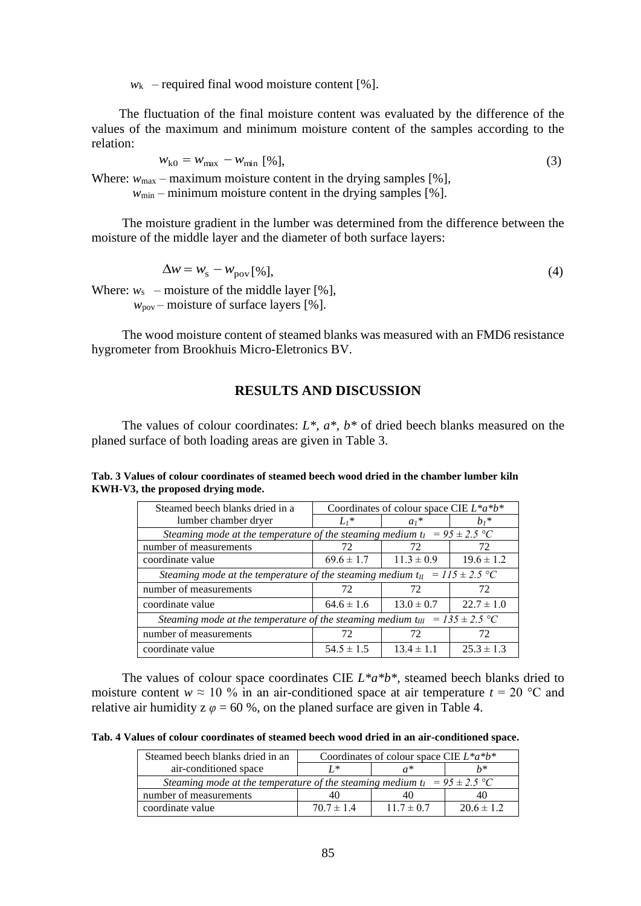$w_k$  – required final wood moisture content [%].

The fluctuation of the final moisture content was evaluated by the difference of the values of the maximum and minimum moisture content of the samples according to the relation:

$$
w_{k0} = w_{\text{max}} - w_{\text{min}} \,\left[ \% \right],\tag{3}
$$

Where:  $w_{\text{max}}$  – maximum moisture content in the drying samples [%],

 $w_{\text{min}}$  – minimum moisture content in the drying samples [%].

The moisture gradient in the lumber was determined from the difference between the moisture of the middle layer and the diameter of both surface layers:

$$
\Delta w = w_{\rm s} - w_{\rm pov} [\%], \tag{4}
$$

Where:  $w_s$  – moisture of the middle layer [%],  $w_{\text{pov}}$  – moisture of surface layers [%].

The wood moisture content of steamed blanks was measured with an FMD6 resistance hygrometer from Brookhuis Micro-Eletronics BV.

# **RESULTS AND DISCUSSION**

The values of colour coordinates: *L\*, a\*, b\** of dried beech blanks measured on the planed surface of both loading areas are given in Table 3.

| Steamed beech blanks dried in a                                                    | Coordinates of colour space CIE $L^*a^*b^*$                                   |                |                |  |  |
|------------------------------------------------------------------------------------|-------------------------------------------------------------------------------|----------------|----------------|--|--|
| lumber chamber dryer                                                               | $Li^*$                                                                        | $a_1$ *        | $h_1$ *        |  |  |
|                                                                                    | Steaming mode at the temperature of the steaming medium $t_1 = 95 \pm 2.5$ °C |                |                |  |  |
| number of measurements                                                             | 72                                                                            | 72             | 72             |  |  |
| coordinate value                                                                   | $69.6 \pm 1.7$                                                                | $11.3 \pm 0.9$ | $19.6 \pm 1.2$ |  |  |
| Steaming mode at the temperature of the steaming medium $t_{II} = 115 \pm 2.5$ °C  |                                                                               |                |                |  |  |
| number of measurements                                                             | 72                                                                            | 72             | 72             |  |  |
| coordinate value                                                                   | $64.6 \pm 1.6$                                                                | $13.0 \pm 0.7$ | $22.7 \pm 1.0$ |  |  |
| Steaming mode at the temperature of the steaming medium $t_{III} = 135 \pm 2.5$ °C |                                                                               |                |                |  |  |
| number of measurements                                                             | 72                                                                            | 72             | 72             |  |  |
| coordinate value                                                                   | $54.5 \pm 1.5$                                                                | $13.4 \pm 1.1$ | $25.3 \pm 1.3$ |  |  |

**Tab. 3 Values of colour coordinates of steamed beech wood dried in the chamber lumber kiln KWH-V3, the proposed drying mode.**

The values of colour space coordinates CIE *L\*a\*b\*,* steamed beech blanks dried to moisture content  $w \approx 10\%$  in an air-conditioned space at air temperature  $t = 20\degree\text{C}$  and relative air humidity  $z \varphi = 60$  %, on the planed surface are given in Table 4.

**Tab. 4 Values of colour coordinates of steamed beech wood dried in an air-conditioned space.**

| Steamed beech blanks dried in an<br>Coordinates of colour space CIE $L^*a^*b^*$ |                |                |                |  |
|---------------------------------------------------------------------------------|----------------|----------------|----------------|--|
| air-conditioned space                                                           | T *            |                | $^{h*}$        |  |
| Steaming mode at the temperature of the steaming medium $t_1 = 95 \pm 2.5$ °C   |                |                |                |  |
| number of measurements                                                          |                | 40             | 40             |  |
| coordinate value                                                                | $70.7 \pm 1.4$ | $11.7 \pm 0.7$ | $20.6 \pm 1.2$ |  |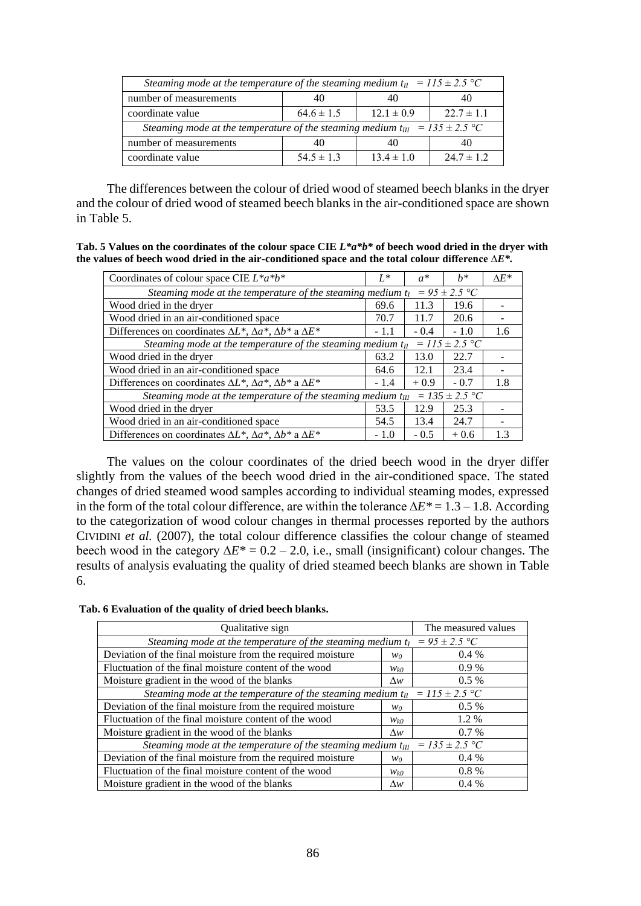| Steaming mode at the temperature of the steaming medium $t_{II} = 115 \pm 2.5$ °C  |                |                |                |  |  |
|------------------------------------------------------------------------------------|----------------|----------------|----------------|--|--|
| number of measurements                                                             | 40             |                |                |  |  |
| coordinate value                                                                   | $64.6 \pm 1.5$ | $12.1 \pm 0.9$ | $22.7 \pm 1.1$ |  |  |
| Steaming mode at the temperature of the steaming medium $t_{III} = 135 \pm 2.5$ °C |                |                |                |  |  |
| number of measurements                                                             | 40             |                |                |  |  |
| coordinate value                                                                   | $54.5 \pm 1.3$ | $13.4 \pm 1.0$ | $24.7 \pm 1.2$ |  |  |

The differences between the colour of dried wood of steamed beech blanks in the dryer and the colour of dried wood of steamed beech blanks in the air-conditioned space are shown in Table 5.

**Tab. 5 Values on the coordinates of the colour space CIE** *L\*a\*b\** **of beech wood dried in the dryer with the values of beech wood dried in the air-conditioned space and the total colour difference ∆***E\*.*

| Coordinates of colour space CIE $L^*a^*b^*$                                                 | $L^*$  | $a^*$  | $h^*$  | $\Lambda E^*$ |  |
|---------------------------------------------------------------------------------------------|--------|--------|--------|---------------|--|
| $= 95 \pm 2.5$ °C<br>Steaming mode at the temperature of the steaming medium t <sub>I</sub> |        |        |        |               |  |
| Wood dried in the dryer                                                                     | 69.6   | 11.3   | 19.6   |               |  |
| Wood dried in an air-conditioned space                                                      | 70.7   | 11.7   | 20.6   |               |  |
| Differences on coordinates $\Delta L^*$ , $\Delta a^*$ , $\Delta b^*$ a $\Delta E^*$        | - 1.1  | $-0.4$ | $-1.0$ | 1.6           |  |
| $= 115 \pm 2.5$ °C<br>Steaming mode at the temperature of the steaming medium $t_{II}$      |        |        |        |               |  |
| Wood dried in the dryer                                                                     | 63.2   | 13.0   | 22.7   |               |  |
| Wood dried in an air-conditioned space                                                      | 64.6   | 12.1   | 23.4   |               |  |
| Differences on coordinates $\Delta L^*$ , $\Delta a^*$ , $\Delta b^*$ a $\Delta E^*$        | $-1.4$ | $+0.9$ | $-0.7$ | 1.8           |  |
| $= 135 \pm 2.5$ °C<br>Steaming mode at the temperature of the steaming medium $t_{III}$     |        |        |        |               |  |
| Wood dried in the dryer                                                                     | 53.5   | 12.9   | 25.3   |               |  |
| Wood dried in an air-conditioned space                                                      | 54.5   | 13.4   | 24.7   |               |  |
| Differences on coordinates $\Delta L^*$ , $\Delta a^*$ , $\Delta b^*$ a $\Delta E^*$        | $-1.0$ | $-0.5$ | $+0.6$ | 1.3           |  |

The values on the colour coordinates of the dried beech wood in the dryer differ slightly from the values of the beech wood dried in the air-conditioned space. The stated changes of dried steamed wood samples according to individual steaming modes, expressed in the form of the total colour difference, are within the tolerance ∆*E\** = 1.3 – 1.8. According to the categorization of wood colour changes in thermal processes reported by the authors CIVIDINI *et al.* (2007), the total colour difference classifies the colour change of steamed beech wood in the category ∆*E\** = 0.2 – 2.0, i.e., small (insignificant) colour changes. The results of analysis evaluating the quality of dried steamed beech blanks are shown in Table 6.

| Qualitative sign                                                                        | The measured values |         |  |
|-----------------------------------------------------------------------------------------|---------------------|---------|--|
| Steaming mode at the temperature of the steaming medium $t_1 = 95 \pm 2.5$ °C           |                     |         |  |
| Deviation of the final moisture from the required moisture                              | $0.4\%$             |         |  |
| Fluctuation of the final moisture content of the wood                                   | $W_{k0}$            | $0.9\%$ |  |
| Moisture gradient in the wood of the blanks                                             | $\Delta w$          | $0.5\%$ |  |
| Steaming mode at the temperature of the steaming medium $t_{II} = 115 \pm 2.5$ °C       |                     |         |  |
| Deviation of the final moisture from the required moisture                              | Wo-                 | $0.5\%$ |  |
| Fluctuation of the final moisture content of the wood                                   | $W_{k0}$            | 1.2 %   |  |
| Moisture gradient in the wood of the blanks                                             |                     | $0.7\%$ |  |
| $= 135 \pm 2.5$ °C<br>Steaming mode at the temperature of the steaming medium $t_{III}$ |                     |         |  |
| Deviation of the final moisture from the required moisture                              | Wo-                 | $0.4\%$ |  |
| Fluctuation of the final moisture content of the wood                                   | $W_{k0}$            | $0.8\%$ |  |
| Moisture gradient in the wood of the blanks                                             | $\Delta w$          | $0.4\%$ |  |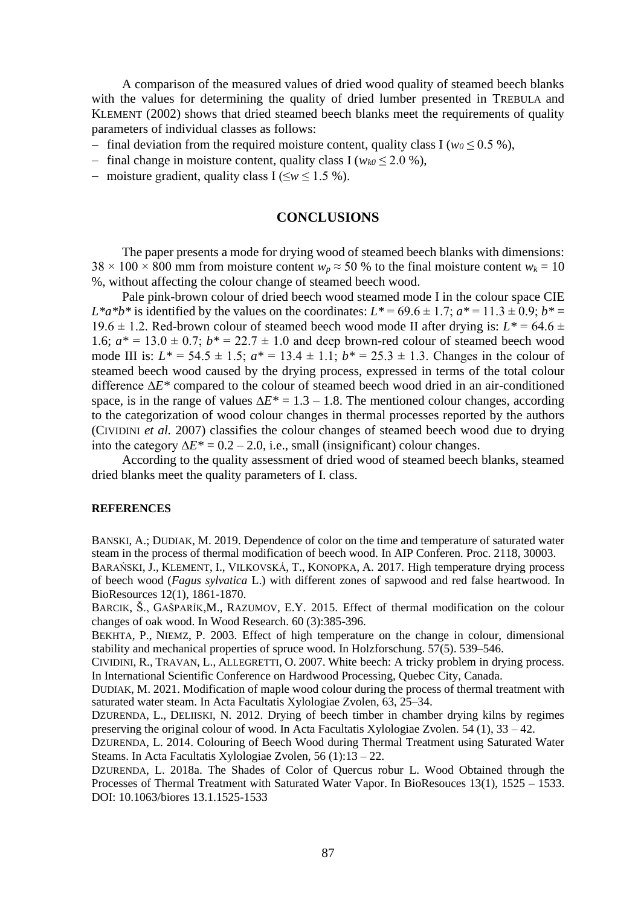A comparison of the measured values of dried wood quality of steamed beech blanks with the values for determining the quality of dried lumber presented in TREBULA and KLEMENT (2002) shows that dried steamed beech blanks meet the requirements of quality parameters of individual classes as follows:

- − final deviation from the required moisture content, quality class I (*w<sup>0</sup>* ≤ 0.5 %),
- − final change in moisture content, quality class I (*wk0* ≤ 2.0 %),
- − moisture gradient, quality class I (≤*w* ≤ 1.5 %).

# **CONCLUSIONS**

The paper presents a mode for drying wood of steamed beech blanks with dimensions:  $38 \times 100 \times 800$  mm from moisture content  $w_p \approx 50$  % to the final moisture content  $w_k = 10$ %, without affecting the colour change of steamed beech wood.

Pale pink-brown colour of dried beech wood steamed mode I in the colour space CIE *L*\**a*\**b*\* is identified by the values on the coordinates:  $L^* = 69.6 \pm 1.7$ ;  $a^* = 11.3 \pm 0.9$ ;  $b^* =$ 19.6  $\pm$  1.2. Red-brown colour of steamed beech wood mode II after drying is:  $L^*$  = 64.6  $\pm$ 1.6;  $a^* = 13.0 \pm 0.7$ ;  $b^* = 22.7 \pm 1.0$  and deep brown-red colour of steamed beech wood mode III is:  $L^* = 54.5 \pm 1.5$ ;  $a^* = 13.4 \pm 1.1$ ;  $b^* = 25.3 \pm 1.3$ . Changes in the colour of steamed beech wood caused by the drying process, expressed in terms of the total colour difference ∆*E\** compared to the colour of steamed beech wood dried in an air-conditioned space, is in the range of values  $\Delta E^* = 1.3 - 1.8$ . The mentioned colour changes, according to the categorization of wood colour changes in thermal processes reported by the authors (CIVIDINI *et al.* 2007) classifies the colour changes of steamed beech wood due to drying into the category  $\Delta E^* = 0.2 - 2.0$ , i.e., small (insignificant) colour changes.

According to the quality assessment of dried wood of steamed beech blanks, steamed dried blanks meet the quality parameters of I. class.

#### **REFERENCES**

BANSKI, A.; DUDIAK, M. 2019. Dependence of color on the time and temperature of saturated water steam in the process of thermal modification of beech wood. In AIP Conferen. Proc. 2118, 30003.

BARAŃSKI, J., KLEMENT, I., VILKOVSKÁ, T., KONOPKA, A. 2017. High temperature drying process of beech wood (*Fagus sylvatica* L.) with different zones of sapwood and red false heartwood. In BioResources 12(1), 1861-1870.

BARCIK, Š., GAŠPARÍK,M., RAZUMOV, E.Y. 2015. Effect of thermal modification on the colour changes of oak wood. In Wood Research. 60 (3):385-396.

BEKHTA, P., NIEMZ, P. 2003. Effect of high temperature on the change in colour, dimensional stability and mechanical properties of spruce wood. In Holzforschung. 57(5). 539–546.

CIVIDINI, R., TRAVAN, L., ALLEGRETTI, O. 2007. White beech: A tricky problem in drying process. In International Scientific Conference on Hardwood Processing, Quebec City, Canada.

DUDIAK, M. 2021. Modification of maple wood colour during the process of thermal treatment with saturated water steam. In Acta Facultatis Xylologiae Zvolen, 63, 25–34.

DZURENDA, L., DELIISKI, N. 2012. Drying of beech timber in chamber drying kilns by regimes preserving the original colour of wood. In Acta Facultatis Xylologiae Zvolen. 54 (1), 33 – 42.

DZURENDA, L. 2014. Colouring of Beech Wood during Thermal Treatment using Saturated Water Steams. In Acta Facultatis Xylologiae Zvolen, 56 (1):13 – 22.

DZURENDA, L. 2018a. The Shades of Color of Quercus robur L. Wood Obtained through the Processes of Thermal Treatment with Saturated Water Vapor. In BioResouces 13(1), 1525 – 1533. DOI: 10.1063/biores 13.1.1525-1533